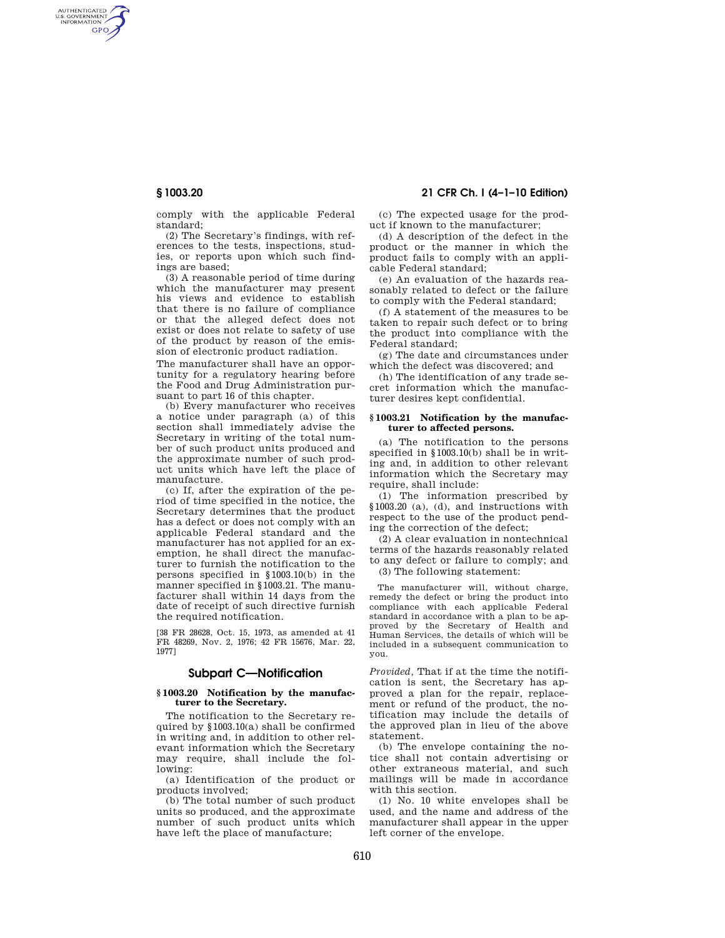AUTHENTICATED<br>U.S. GOVERNMENT<br>INFORMATION **GPO** 

**§ 1003.20 21 CFR Ch. I (4–1–10 Edition)** 

comply with the applicable Federal standard;

(2) The Secretary's findings, with references to the tests, inspections, studies, or reports upon which such findings are based;

(3) A reasonable period of time during which the manufacturer may present his views and evidence to establish that there is no failure of compliance or that the alleged defect does not exist or does not relate to safety of use of the product by reason of the emission of electronic product radiation.

The manufacturer shall have an opportunity for a regulatory hearing before the Food and Drug Administration pursuant to part 16 of this chapter.

(b) Every manufacturer who receives a notice under paragraph (a) of this section shall immediately advise the Secretary in writing of the total number of such product units produced and the approximate number of such product units which have left the place of manufacture.

(c) If, after the expiration of the period of time specified in the notice, the Secretary determines that the product has a defect or does not comply with an applicable Federal standard and the manufacturer has not applied for an exemption, he shall direct the manufacturer to furnish the notification to the persons specified in §1003.10(b) in the manner specified in §1003.21. The manufacturer shall within 14 days from the date of receipt of such directive furnish the required notification.

[38 FR 28628, Oct. 15, 1973, as amended at 41 FR 48269, Nov. 2, 1976; 42 FR 15676, Mar. 22, 1977]

# **Subpart C—Notification**

#### **§ 1003.20 Notification by the manufacturer to the Secretary.**

The notification to the Secretary required by §1003.10(a) shall be confirmed in writing and, in addition to other relevant information which the Secretary may require, shall include the following:

(a) Identification of the product or products involved;

(b) The total number of such product units so produced, and the approximate number of such product units which have left the place of manufacture;

(c) The expected usage for the product if known to the manufacturer;

(d) A description of the defect in the product or the manner in which the product fails to comply with an applicable Federal standard;

(e) An evaluation of the hazards reasonably related to defect or the failure to comply with the Federal standard;

(f) A statement of the measures to be taken to repair such defect or to bring the product into compliance with the Federal standard;

(g) The date and circumstances under which the defect was discovered; and

(h) The identification of any trade secret information which the manufacturer desires kept confidential.

### **§ 1003.21 Notification by the manufacturer to affected persons.**

(a) The notification to the persons specified in §1003.10(b) shall be in writing and, in addition to other relevant information which the Secretary may require, shall include:

(1) The information prescribed by §1003.20 (a), (d), and instructions with respect to the use of the product pending the correction of the defect;

(2) A clear evaluation in nontechnical terms of the hazards reasonably related to any defect or failure to comply; and (3) The following statement:

The manufacturer will, without charge, remedy the defect or bring the product into compliance with each applicable Federal standard in accordance with a plan to be approved by the Secretary of Health and Human Services, the details of which will be included in a subsequent communication to you.

*Provided,* That if at the time the notification is sent, the Secretary has approved a plan for the repair, replacement or refund of the product, the notification may include the details of the approved plan in lieu of the above statement.

(b) The envelope containing the notice shall not contain advertising or other extraneous material, and such mailings will be made in accordance with this section.

(1) No. 10 white envelopes shall be used, and the name and address of the manufacturer shall appear in the upper left corner of the envelope.